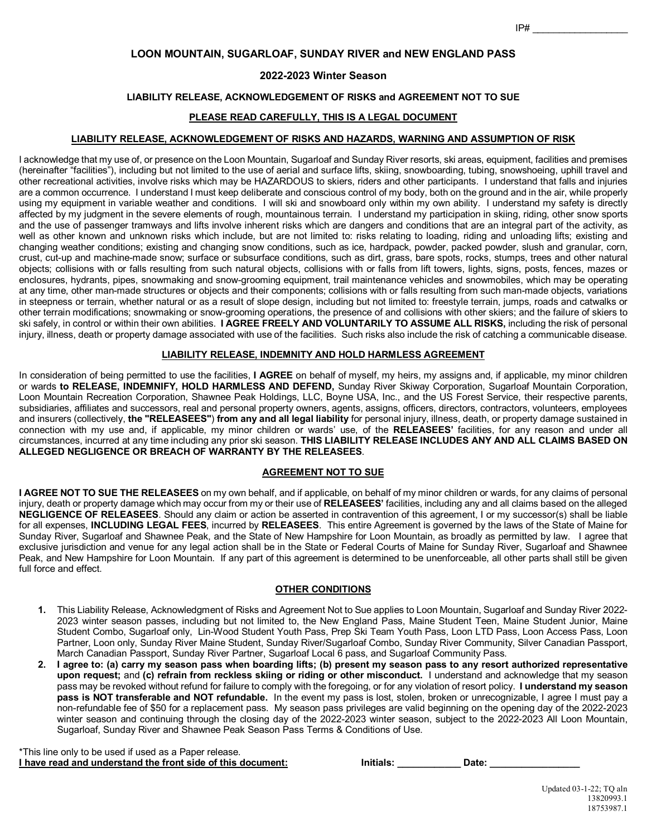# **LOON MOUNTAIN, SUGARLOAF, SUNDAY RIVER and NEW ENGLAND PASS**

## **2022-2023 Winter Season**

### **LIABILITY RELEASE, ACKNOWLEDGEMENT OF RISKS and AGREEMENT NOT TO SUE**

## **PLEASE READ CAREFULLY, THIS IS A LEGAL DOCUMENT**

### **LIABILITY RELEASE, ACKNOWLEDGEMENT OF RISKS AND HAZARDS, WARNING AND ASSUMPTION OF RISK**

I acknowledge that my use of, or presence on the Loon Mountain, Sugarloaf and Sunday River resorts, ski areas, equipment, facilities and premises (hereinafter "facilities"), including but not limited to the use of aerial and surface lifts, skiing, snowboarding, tubing, snowshoeing, uphill travel and other recreational activities, involve risks which may be HAZARDOUS to skiers, riders and other participants. I understand that falls and injuries are a common occurrence. I understand I must keep deliberate and conscious control of my body, both on the ground and in the air, while properly using my equipment in variable weather and conditions. I will ski and snowboard only within my own ability. I understand my safety is directly affected by my judgment in the severe elements of rough, mountainous terrain. I understand my participation in skiing, riding, other snow sports and the use of passenger tramways and lifts involve inherent risks which are dangers and conditions that are an integral part of the activity, as well as other known and unknown risks which include, but are not limited to: risks relating to loading, riding and unloading lifts; existing and changing weather conditions; existing and changing snow conditions, such as ice, hardpack, powder, packed powder, slush and granular, corn, crust, cut-up and machine-made snow; surface or subsurface conditions, such as dirt, grass, bare spots, rocks, stumps, trees and other natural objects; collisions with or falls resulting from such natural objects, collisions with or falls from lift towers, lights, signs, posts, fences, mazes or enclosures, hydrants, pipes, snowmaking and snow-grooming equipment, trail maintenance vehicles and snowmobiles, which may be operating at any time, other man-made structures or objects and their components; collisions with or falls resulting from such man-made objects, variations in steepness or terrain, whether natural or as a result of slope design, including but not limited to: freestyle terrain, jumps, roads and catwalks or other terrain modifications; snowmaking or snow-grooming operations, the presence of and collisions with other skiers; and the failure of skiers to ski safely, in control or within their own abilities. **I AGREE FREELY AND VOLUNTARILY TO ASSUME ALL RISKS,** including the risk of personal injury, illness, death or property damage associated with use of the facilities. Such risks also include the risk of catching a communicable disease.

## **LIABILITY RELEASE, INDEMNITY AND HOLD HARMLESS AGREEMENT**

In consideration of being permitted to use the facilities, **I AGREE** on behalf of myself, my heirs, my assigns and, if applicable, my minor children or wards **to RELEASE, INDEMNIFY, HOLD HARMLESS AND DEFEND,** Sunday River Skiway Corporation, Sugarloaf Mountain Corporation, Loon Mountain Recreation Corporation, Shawnee Peak Holdings, LLC, Boyne USA, Inc., and the US Forest Service, their respective parents, subsidiaries, affiliates and successors, real and personal property owners, agents, assigns, officers, directors, contractors, volunteers, employees and insurers (collectively, **the "RELEASEES"**) **from any and all legal liability** for personal injury, illness, death, or property damage sustained in connection with my use and, if applicable, my minor children or wards' use, of the **RELEASEES'** facilities, for any reason and under all circumstances, incurred at any time including any prior ski season. **THIS LIABILITY RELEASE INCLUDES ANY AND ALL CLAIMS BASED ON ALLEGED NEGLIGENCE OR BREACH OF WARRANTY BY THE RELEASEES**.

### **AGREEMENT NOT TO SUE**

**I AGREE NOT TO SUE THE RELEASEES** on my own behalf, and if applicable, on behalf of my minor children or wards, for any claims of personal injury, death or property damage which may occur from my or their use of **RELEASEES'** facilities, including any and all claims based on the alleged **NEGLIGENCE OF RELEASEES**. Should any claim or action be asserted in contravention of this agreement, I or my successor(s) shall be liable for all expenses, **INCLUDING LEGAL FEES**, incurred by **RELEASEES**. This entire Agreement is governed by the laws of the State of Maine for Sunday River, Sugarloaf and Shawnee Peak, and the State of New Hampshire for Loon Mountain, as broadly as permitted by law. I agree that exclusive jurisdiction and venue for any legal action shall be in the State or Federal Courts of Maine for Sunday River, Sugarloaf and Shawnee Peak, and New Hampshire for Loon Mountain. If any part of this agreement is determined to be unenforceable, all other parts shall still be given full force and effect.

#### **OTHER CONDITIONS**

- **1.** This Liability Release, Acknowledgment of Risks and Agreement Not to Sue applies to Loon Mountain, Sugarloaf and Sunday River 2022- 2023 winter season passes, including but not limited to, the New England Pass, Maine Student Teen, Maine Student Junior, Maine Student Combo, Sugarloaf only, Lin-Wood Student Youth Pass, Prep Ski Team Youth Pass, Loon LTD Pass, Loon Access Pass, Loon Partner, Loon only, Sunday River Maine Student, Sunday River/Sugarloaf Combo, Sunday River Community, Silver Canadian Passport, March Canadian Passport, Sunday River Partner, Sugarloaf Local 6 pass, and Sugarloaf Community Pass.
- **2. I agree to: (a) carry my season pass when boarding lifts; (b) present my season pass to any resort authorized representative upon request;** and **(c) refrain from reckless skiing or riding or other misconduct.** I understand and acknowledge that my season pass may be revoked without refund for failure to comply with the foregoing, or for any violation of resort policy. **I understand my season pass is NOT transferable and NOT refundable.** In the event my pass is lost, stolen, broken or unrecognizable, I agree I must pay a non-refundable fee of \$50 for a replacement pass. My season pass privileges are valid beginning on the opening day of the 2022-2023 winter season and continuing through the closing day of the 2022-2023 winter season, subject to the 2022-2023 All Loon Mountain, Sugarloaf, Sunday River and Shawnee Peak Season Pass Terms & Conditions of Use.

\*This line only to be used if used as a Paper release. **I** have read and understand the front side of this document: **Initials:** \_\_\_\_\_\_\_\_\_\_\_\_\_\_\_\_\_\_ Date: \_\_\_\_\_\_\_\_\_\_\_\_\_\_\_\_\_\_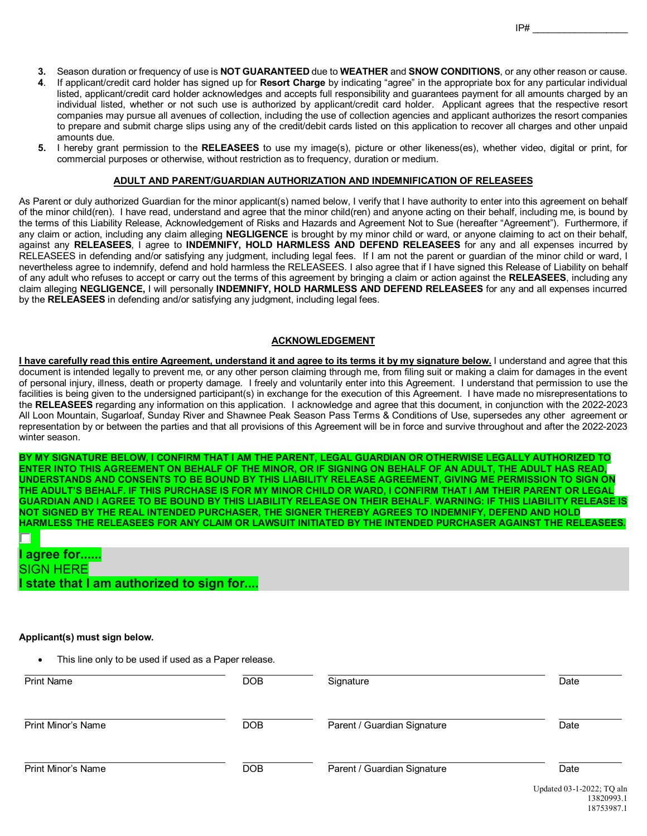- **3.** Season duration or frequency of use is **NOT GUARANTEED** due to **WEATHER** and **SNOW CONDITIONS**, or any other reason or cause.
- **4**. If applicant/credit card holder has signed up for **Resort Charge** by indicating "agree" in the appropriate box for any particular individual listed, applicant/credit card holder acknowledges and accepts full responsibility and guarantees payment for all amounts charged by an individual listed, whether or not such use is authorized by applicant/credit card holder. Applicant agrees that the respective resort companies may pursue all avenues of collection, including the use of collection agencies and applicant authorizes the resort companies to prepare and submit charge slips using any of the credit/debit cards listed on this application to recover all charges and other unpaid amounts due.
- **5.** I hereby grant permission to the **RELEASEES** to use my image(s), picture or other likeness(es), whether video, digital or print, for commercial purposes or otherwise, without restriction as to frequency, duration or medium.

### **ADULT AND PARENT/GUARDIAN AUTHORIZATION AND INDEMNIFICATION OF RELEASEES**

As Parent or duly authorized Guardian for the minor applicant(s) named below, I verify that I have authority to enter into this agreement on behalf of the minor child(ren). I have read, understand and agree that the minor child(ren) and anyone acting on their behalf, including me, is bound by the terms of this Liability Release, Acknowledgement of Risks and Hazards and Agreement Not to Sue (hereafter "Agreement"). Furthermore, if any claim or action, including any claim alleging **NEGLIGENCE** is brought by my minor child or ward, or anyone claiming to act on their behalf, against any **RELEASEES**, I agree to **INDEMNIFY, HOLD HARMLESS AND DEFEND RELEASEES** for any and all expenses incurred by RELEASEES in defending and/or satisfying any judgment, including legal fees. If I am not the parent or guardian of the minor child or ward, I nevertheless agree to indemnify, defend and hold harmless the RELEASEES. I also agree that if I have signed this Release of Liability on behalf of any adult who refuses to accept or carry out the terms of this agreement by bringing a claim or action against the **RELEASEES**, including any claim alleging **NEGLIGENCE,** I will personally **INDEMNIFY, HOLD HARMLESS AND DEFEND RELEASEES** for any and all expenses incurred by the **RELEASEES** in defending and/or satisfying any judgment, including legal fees.

### **ACKNOWLEDGEMENT**

**I have carefully read this entire Agreement, understand it and agree to its terms it by my signature below. I understand and agree that this** document is intended legally to prevent me, or any other person claiming through me, from filing suit or making a claim for damages in the event of personal injury, illness, death or property damage. I freely and voluntarily enter into this Agreement. I understand that permission to use the facilities is being given to the undersigned participant(s) in exchange for the execution of this Agreement. I have made no misrepresentations to the **RELEASEES** regarding any information on this application. I acknowledge and agree that this document, in conjunction with the 2022-2023 All Loon Mountain, Sugarloaf, Sunday River and Shawnee Peak Season Pass Terms & Conditions of Use, supersedes any other agreement or representation by or between the parties and that all provisions of this Agreement will be in force and survive throughout and after the 2022-2023 winter season.

**BY MY SIGNATURE BELOW, I CONFIRM THAT I AM THE PARENT, LEGAL GUARDIAN OR OTHERWISE LEGALLY AUTHORIZED TO ENTER INTO THIS AGREEMENT ON BEHALF OF THE MINOR, OR IF SIGNING ON BEHALF OF AN ADULT, THE ADULT HAS READ, UNDERSTANDS AND CONSENTS TO BE BOUND BY THIS LIABILITY RELEASE AGREEMENT, GIVING ME PERMISSION TO SIGN ON THE ADULT'S BEHALF. IF THIS PURCHASE IS FOR MY MINOR CHILD OR WARD, I CONFIRM THAT I AM THEIR PARENT OR LEGAL GUARDIAN AND I AGREE TO BE BOUND BY THIS LIABILITY RELEASE ON THEIR BEHALF. WARNING: IF THIS LIABILITY RELEASE IS NOT SIGNED BY THE REAL INTENDED PURCHASER, THE SIGNER THEREBY AGREES TO INDEMNIFY, DEFEND AND HOLD HARMLESS THE RELEASEES FOR ANY CLAIM OR LAWSUIT INITIATED BY THE INTENDED PURCHASER AGAINST THE RELEASEES.**

| l agree for      |                                          |
|------------------|------------------------------------------|
| <b>SIGN HERE</b> |                                          |
|                  | I state that I am authorized to sign for |

#### **Applicant(s) must sign below.**

This line only to be used if used as a Paper release.

| <b>Print Name</b>         | <b>DOB</b> | Signature                   | Date                                |
|---------------------------|------------|-----------------------------|-------------------------------------|
| <b>Print Minor's Name</b> | <b>DOB</b> | Parent / Guardian Signature | Date                                |
| <b>Print Minor's Name</b> | <b>DOB</b> | Parent / Guardian Signature | Date<br>$T = 1 + 102 + 2022$ To $1$ |